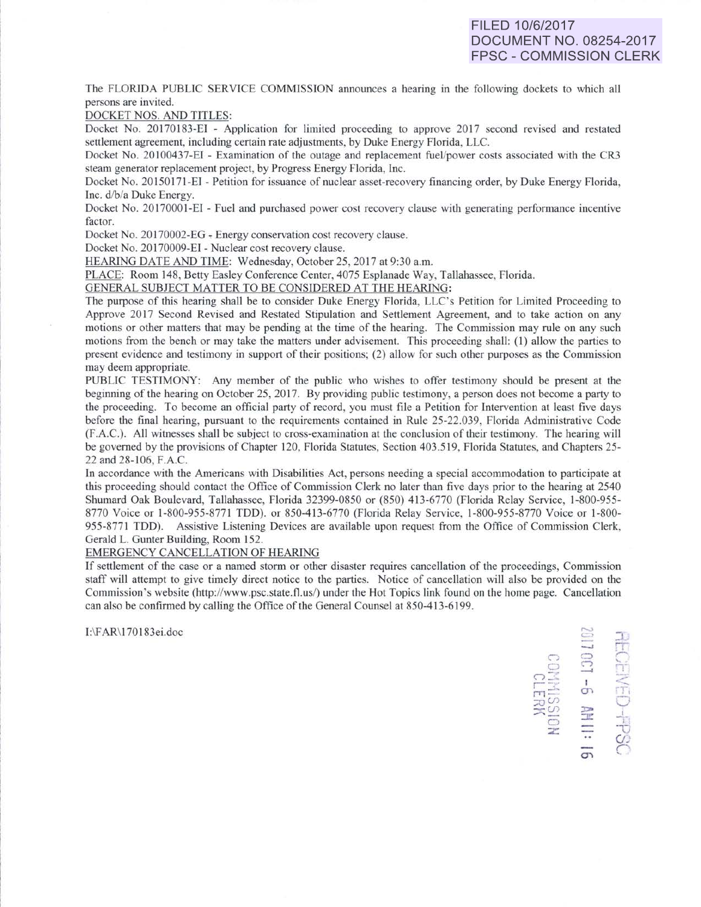The FLORIDA PUBLIC SERVICE COMMISSION announces a hearing in the following dockets to which all persons are invited.

DOCKET NOS. AND TITLES:

Docket No. 20170183-EI - Application for limited proceeding to approve 2017 second revised and restated settlement agreement, including certain rate adjustments, by Duke Energy Florida, LLC.

Docket No. 20100437-El - Examination of the outage and replacement fuel/power costs associated with the CR3 steam generator replacement project, by Progress Energy Florida, Inc.

Docket No. 20150171-EI - Petition for issuance of nuclear asset-recovery financing order, by Duke Energy Florida, Inc. d/b/a Duke Energy.

Docket No. 20170001-EI - Fuel and purchased power cost recovery clause with generating performance incentive factor.

Docket No. 20170002-EG - Energy conservation cost recovery clause.

Docket No. 20170009-EI - Nuclear cost recovery clause.

HEARING DATE AND TIME: Wednesday, October 25, 2017 at 9:30 a.m.

PLACE: Room 148, Betty Easley Conference Center, 4075 Esplanade Way, Tallahassee, Florida.

GENERAL SUBJECT MATTER TO BE CONSIDERED AT THE HEARING:

The purpose of this hearing shall be to consider Duke Energy Florida, LLC's Petition for Limited Proceeding to Approve 2017 Second Revised and Restated Stipulation and Settlement Agreement, and to take action on any motions or other matters that may be pending at the time of the hearing. The Commission may rule on any such motions from the bench or may take the matters under advisement. This proceeding shall: (I) allow the parties to present evidence and testimony in support of their positions; (2) allow for such other purposes as the Commission may deem appropriate.

PUBLIC TESTIMONY: Any member of the public who wishes to offer testimony should be present at the beginning of the hearing on October 25, 2017. By providing public testimony, a person does not become a party to the proceeding. To become an official party of record, you must file a Petition for lntervention at least five days before the final hearing, pursuant to the requirements contained in Rule 25-22.039, Florida Administrative Code (F.A.C.). All witnesses shall be subject to cross-exanunation at the conclusion of their testimony. The hearing will be governed by the provisions of Chapter 120, Florida Statutes, Section 403.519, Florida Statutes, and Chapters 25- 22 and 28-106, F.A.C.

In accordance with the Americans with Disabilities Act, persons needing a special accommodation to participate at this proceeding should contact the Office of Commission Clerk no later than five days prior to the hearing at 2540 Shumard Oak Boulevard, Tallahassee, Florida 32399-0850 or (850) 413-6770 (Florida Relay Service, 1-800-955- 8770 Voice or 1-800-955-8771 TDD). or 850-413-6770 (Florida Relay Service, 1-800-955-8770 Voice or 1-800- 955-8771 TDD). Assistive Listening Devices are available upon request from the Office of Commission Clerk, Gerald L. Gunter Building, Room 152.

EMERGENCY CANCELLATION OF HEARING

If settlement of the case or a named stonn or other disaster requires cancellation of the proceedings, Commission staff will attempt to give timely direct notice to the parties. Notice of cancellation will also be provided on the Commission's website (http://www.psc.state.fl.us/) under the Hot Topics link found on the home page. Cancellation can also be confirmed by calling the Office of the General Counsel at 850-413-6199.

......... 1:\F AR\ 170I83ei.doc c·, :u --J *;T*  8 9 8 COMMISSION<br>CLERK re;<br>1-6 ani<br>1-6 ani HO ON<br> **1:** 10<br>
OGJ